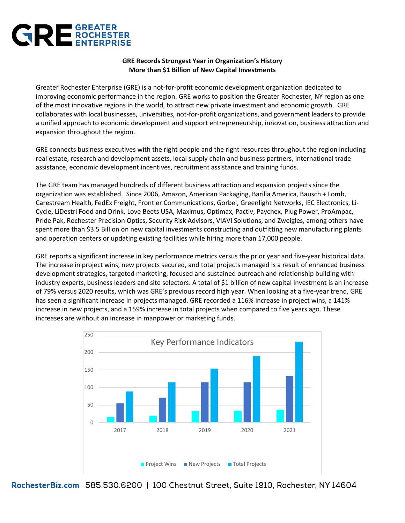

## **GRE Records Strongest Year in Organization's History More than \$1 Billion of New Capital Investments**

Greater Rochester Enterprise (GRE) is a not-for-profit economic development organization dedicated to improving economic performance in the region. GRE works to position the Greater Rochester, NY region as one of the most innovative regions in the world, to attract new private investment and economic growth. GRE collaborates with local businesses, universities, not-for-profit organizations, and government leaders to provide a unified approach to economic development and support entrepreneurship, innovation, business attraction and expansion throughout the region.

GRE connects business executives with the right people and the right resources throughout the region including real estate, research and development assets, local supply chain and business partners, international trade assistance, economic development incentives, recruitment assistance and training funds.

The GRE team has managed hundreds of different business attraction and expansion projects since the organization was established. Since 2006, Amazon, American Packaging, Barilla America, Bausch + Lomb, Carestream Health, FedEx Freight, Frontier Communications, Gorbel, Greenlight Networks, IEC Electronics, Li-Cycle, LiDestri Food and Drink, Love Beets USA, Maximus, Optimax, Pactiv, Paychex, Plug Power, ProAmpac, Pride Pak, Rochester Precision Optics, Security Risk Advisors, VIAVI Solutions, and Zweigles, among others have spent more than \$3.5 Billion on new capital investments constructing and outfitting new manufacturing plants and operation centers or updating existing facilities while hiring more than 17,000 people.

GRE reports a significant increase in key performance metrics versus the prior year and five-year historical data. The increase in project wins, new projects secured, and total projects managed is a result of enhanced business development strategies, targeted marketing, focused and sustained outreach and relationship building with industry experts, business leaders and site selectors. A total of \$1 billion of new capital investment is an increase of 79% versus 2020 results, which was GRE's previous record high year. When looking at a five-year trend, GRE has seen a significant increase in projects managed. GRE recorded a 116% increase in project wins, a 141% increase in new projects, and a 159% increase in total projects when compared to five years ago. These increases are without an increase in manpower or marketing funds.



RochesterBiz.com 585.530.6200 | 100 Chestnut Street, Suite 1910, Rochester, NY 14604